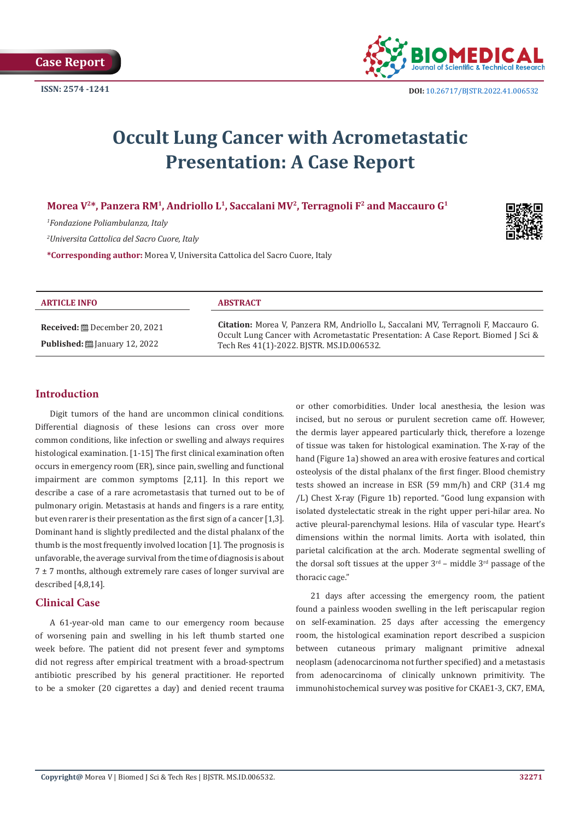

# **Occult Lung Cancer with Acrometastatic Presentation: A Case Report**

# Morea V<sup>2\*</sup>, Panzera RM<sup>1</sup>, Andriollo L<sup>1</sup>, Saccalani MV<sup>2</sup>, Terragnoli F<sup>2</sup> and Maccauro G<sup>1</sup>

*1 Fondazione Poliambulanza, Italy*

*2 Universita Cattolica del Sacro Cuore, Italy*

**\*Corresponding author:** Morea V, Universita Cattolica del Sacro Cuore, Italy



| <b>ARTICLE INFO</b>                                                        | <b>ABSTRACT</b>                                                                                                                                                                                                               |
|----------------------------------------------------------------------------|-------------------------------------------------------------------------------------------------------------------------------------------------------------------------------------------------------------------------------|
| <b>Received:</b> ■ December 20, 2021<br>Published: [2010] January 12, 2022 | <b>Citation:</b> Morea V, Panzera RM, Andriollo L, Saccalani MV, Terragnoli F, Maccauro G.<br>Occult Lung Cancer with Acrometastatic Presentation: A Case Report. Biomed J Sci &<br>Tech Res 41(1)-2022. BISTR. MS.ID.006532. |
|                                                                            |                                                                                                                                                                                                                               |

# **Introduction**

Digit tumors of the hand are uncommon clinical conditions. Differential diagnosis of these lesions can cross over more common conditions, like infection or swelling and always requires histological examination. [1-15] The first clinical examination often occurs in emergency room (ER), since pain, swelling and functional impairment are common symptoms [2,11]. In this report we describe a case of a rare acrometastasis that turned out to be of pulmonary origin. Metastasis at hands and fingers is a rare entity, but even rarer is their presentation as the first sign of a cancer [1,3]. Dominant hand is slightly predilected and the distal phalanx of the thumb is the most frequently involved location [1]. The prognosis is unfavorable, the average survival from the time of diagnosis is about  $7 \pm 7$  months, although extremely rare cases of longer survival are described [4,8,14].

# **Clinical Case**

A 61-year-old man came to our emergency room because of worsening pain and swelling in his left thumb started one week before. The patient did not present fever and symptoms did not regress after empirical treatment with a broad-spectrum antibiotic prescribed by his general practitioner. He reported to be a smoker (20 cigarettes a day) and denied recent trauma

or other comorbidities. Under local anesthesia, the lesion was incised, but no serous or purulent secretion came off. However, the dermis layer appeared particularly thick, therefore a lozenge of tissue was taken for histological examination. The X-ray of the hand (Figure 1a) showed an area with erosive features and cortical osteolysis of the distal phalanx of the first finger. Blood chemistry tests showed an increase in ESR (59 mm/h) and CRP (31.4 mg /L) Chest X-ray (Figure 1b) reported. "Good lung expansion with isolated dystelectatic streak in the right upper peri-hilar area. No active pleural-parenchymal lesions. Hila of vascular type. Heart's dimensions within the normal limits. Aorta with isolated, thin parietal calcification at the arch. Moderate segmental swelling of the dorsal soft tissues at the upper  $3<sup>rd</sup>$  – middle  $3<sup>rd</sup>$  passage of the thoracic cage."

21 days after accessing the emergency room, the patient found a painless wooden swelling in the left periscapular region on self-examination. 25 days after accessing the emergency room, the histological examination report described a suspicion between cutaneous primary malignant primitive adnexal neoplasm (adenocarcinoma not further specified) and a metastasis from adenocarcinoma of clinically unknown primitivity. The immunohistochemical survey was positive for CKAE1-3, CK7, EMA,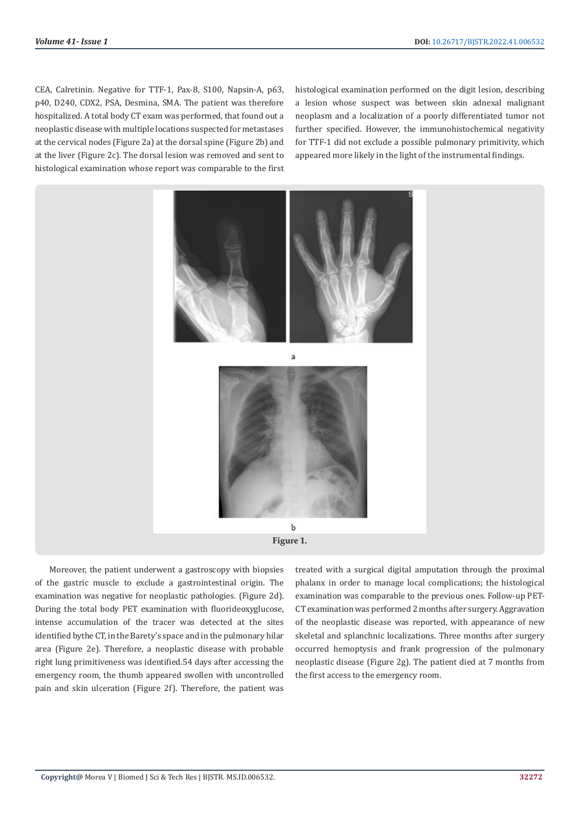CEA, Calretinin. Negative for TTF-1, Pax-8, S100, Napsin-A, p63, p40, D240, CDX2, PSA, Desmina, SMA. The patient was therefore hospitalized. A total body CT exam was performed, that found out a neoplastic disease with multiple locations suspected for metastases at the cervical nodes (Figure 2a) at the dorsal spine (Figure 2b) and at the liver (Figure 2c). The dorsal lesion was removed and sent to histological examination whose report was comparable to the first

histological examination performed on the digit lesion, describing a lesion whose suspect was between skin adnexal malignant neoplasm and a localization of a poorly differentiated tumor not further specified. However, the immunohistochemical negativity for TTF-1 did not exclude a possible pulmonary primitivity, which appeared more likely in the light of the instrumental findings.



Moreover, the patient underwent a gastroscopy with biopsies of the gastric muscle to exclude a gastrointestinal origin. The examination was negative for neoplastic pathologies. (Figure 2d). During the total body PET examination with fluorideoxyglucose, intense accumulation of the tracer was detected at the sites identified bythe CT, in the Barety's space and in the pulmonary hilar area (Figure 2e). Therefore, a neoplastic disease with probable right lung primitiveness was identified.54 days after accessing the emergency room, the thumb appeared swollen with uncontrolled pain and skin ulceration (Figure 2f). Therefore, the patient was

treated with a surgical digital amputation through the proximal phalanx in order to manage local complications; the histological examination was comparable to the previous ones. Follow-up PET-CT examination was performed 2 months after surgery. Aggravation of the neoplastic disease was reported, with appearance of new skeletal and splanchnic localizations. Three months after surgery occurred hemoptysis and frank progression of the pulmonary neoplastic disease (Figure 2g). The patient died at 7 months from the first access to the emergency room.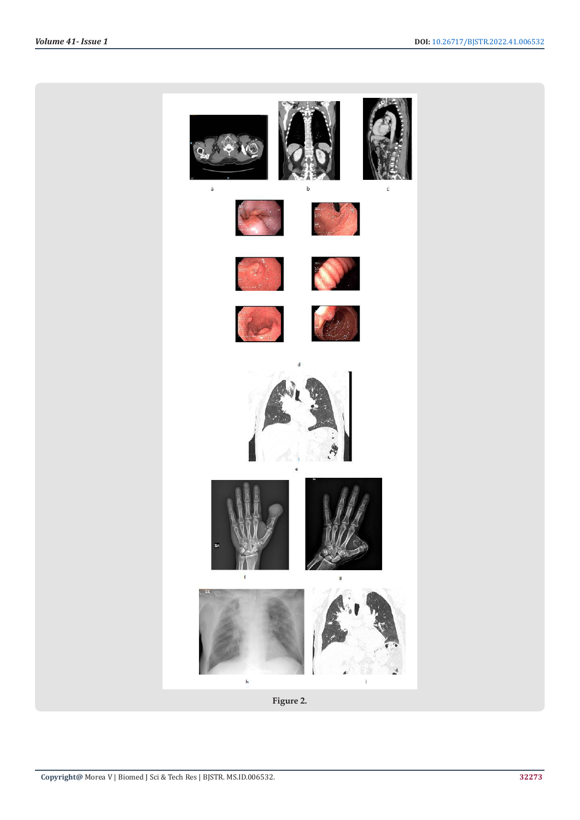